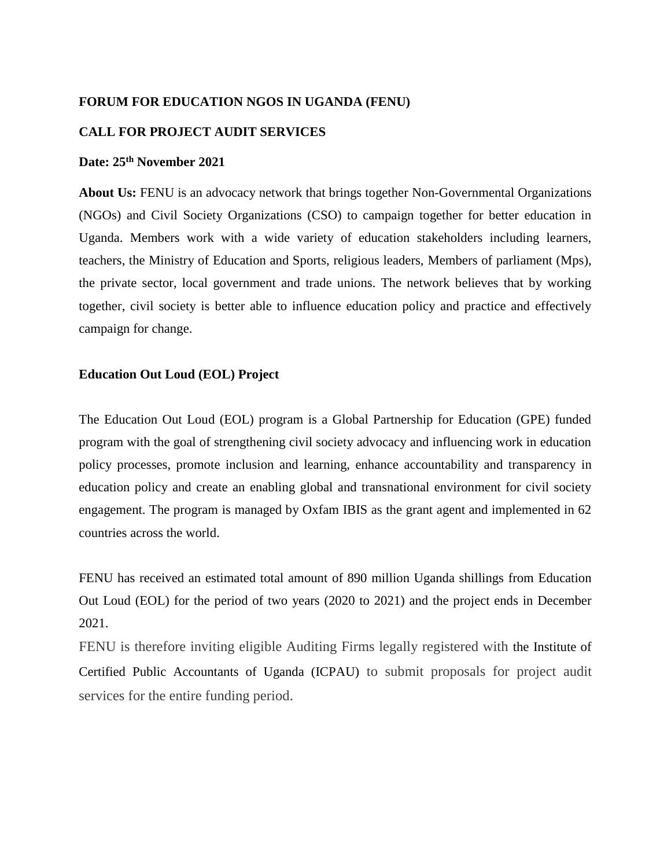### **FORUM FOR EDUCATION NGOS IN UGANDA (FENU)**

### **CALL FOR PROJECT AUDIT SERVICES**

# **Date: 25th November 2021**

**About Us:** FENU is an advocacy network that brings together Non-Governmental Organizations (NGOs) and Civil Society Organizations (CSO) to campaign together for better education in Uganda. Members work with a wide variety of education stakeholders including learners, teachers, the Ministry of Education and Sports, religious leaders, Members of parliament (Mps), the private sector, local government and trade unions. The network believes that by working together, civil society is better able to influence education policy and practice and effectively campaign for change.

### **Education Out Loud (EOL) Project**

The Education Out Loud (EOL) program is a Global Partnership for Education (GPE) funded program with the goal of strengthening civil society advocacy and influencing work in education policy processes, promote inclusion and learning, enhance accountability and transparency in education policy and create an enabling global and transnational environment for civil society engagement. The program is managed by Oxfam IBIS as the grant agent and implemented in 62 countries across the world.

FENU has received an estimated total amount of 890 million Uganda shillings from Education Out Loud (EOL) for the period of two years (2020 to 2021) and the project ends in December 2021.

FENU is therefore inviting eligible Auditing Firms legally registered with the Institute of Certified Public Accountants of Uganda (ICPAU) to submit proposals for project audit services for the entire funding period.